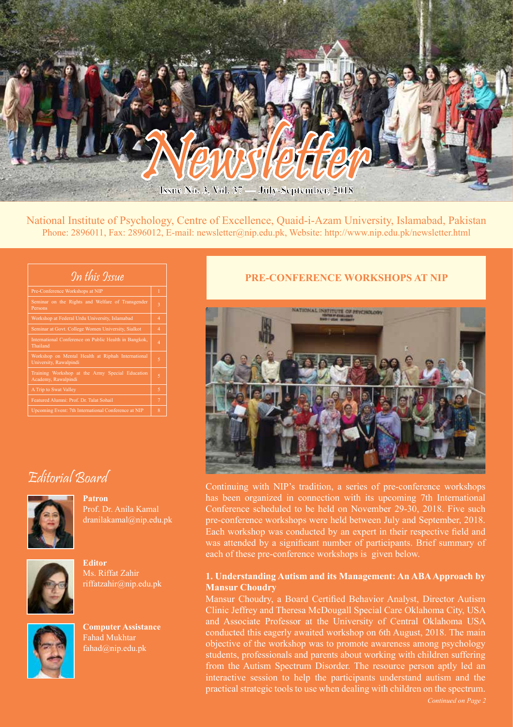

National Institute of Psychology, Centre of Excellence, Quaid-i-Azam University, Islamabad, Pakistan Phone: 2896011, Fax: 2896012, E-mail: newsletter@nip.edu.pk, Website: http://www.nip.edu.pk/newsletter.html

| In this Issue                                                               |                |
|-----------------------------------------------------------------------------|----------------|
| Pre-Conference Workshops at NIP                                             | $\overline{1}$ |
| Seminar on the Rights and Welfare of Transgender<br>Persons                 | 3              |
| Workshop at Federal Urdu University, Islamabad                              | $\overline{4}$ |
| Seminar at Govt. College Women University, Sialkot                          | 4              |
| International Conference on Public Health in Bangkok,<br>Thailand           | 4              |
| Workshop on Mental Health at Riphah International<br>University, Rawalpindi | 5              |
| Training Workshop at the Army Special Education<br>Academy, Rawalpindi      | 5              |
| A Trip to Swat Valley                                                       | 5              |
| Featured Alumni: Prof. Dr. Talat Sohail                                     | $\overline{7}$ |
| Upcoming Event: 7th International Conference at NIP                         | 8              |

## **PRE-CONFERENCE WORKSHOPS AT NIP**



Continuing with NIP's tradition, a series of pre-conference workshops Prof. Dr. Anila Kamal dranilakamal@nip.edu.pk



Editorial Board

**Patron**

**Editor** Ms. Riffat Zahir riffatzahir@nip.edu.pk



**Computer Assistance** Fahad Mukhtar fahad@nip.edu.pk

has been organized in connection with its upcoming 7th International Conference scheduled to be held on November 29-30, 2018. Five such pre-conference workshops were held between July and September, 2018. Each workshop was conducted by an expert in their respective field and was attended by a significant number of participants. Brief summary of each of these pre-conference workshops is given below.

#### **1. Understanding Autism and its Management: An ABA Approach by Mansur Choudry**

Mansur Choudry, a Board Certified Behavior Analyst, Director Autism Clinic Jeffrey and Theresa McDougall Special Care Oklahoma City, USA and Associate Professor at the University of Central Oklahoma USA conducted this eagerly awaited workshop on 6th August, 2018. The main objective of the workshop was to promote awareness among psychology students, professionals and parents about working with children suffering from the Autism Spectrum Disorder. The resource person aptly led an interactive session to help the participants understand autism and the practical strategic tools to use when dealing with children on the spectrum.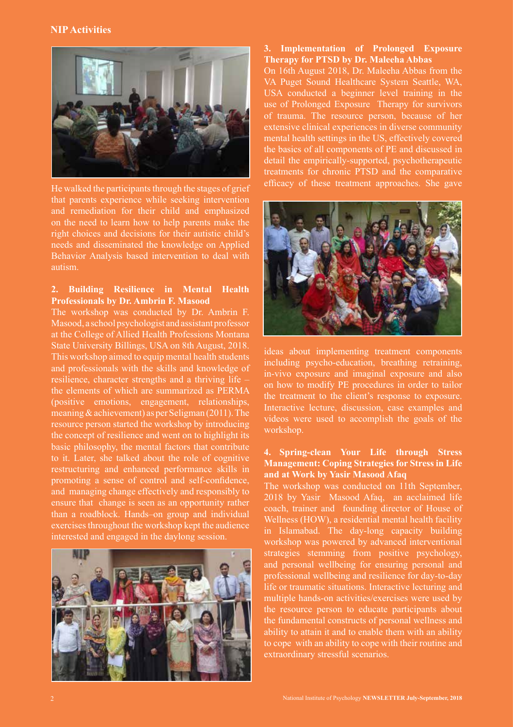#### **NIP Activities**



He walked the participants through the stages of grief that parents experience while seeking intervention and remediation for their child and emphasized on the need to learn how to help parents make the right choices and decisions for their autistic child's needs and disseminated the knowledge on Applied Behavior Analysis based intervention to deal with autism.

#### **2. Building Resilience in Mental Health Professionals by Dr. Ambrin F. Masood**

The workshop was conducted by Dr. Ambrin F. Masood, a school psychologist and assistant professor at the College of Allied Health Professions Montana State University Billings, USA on 8th August, 2018. This workshop aimed to equip mental health students and professionals with the skills and knowledge of resilience, character strengths and a thriving life – the elements of which are summarized as PERMA (positive emotions, engagement, relationships, meaning & achievement) as per Seligman (2011). The resource person started the workshop by introducing the concept of resilience and went on to highlight its basic philosophy, the mental factors that contribute to it. Later, she talked about the role of cognitive restructuring and enhanced performance skills in promoting a sense of control and self-confidence, and managing change effectively and responsibly to ensure that change is seen as an opportunity rather than a roadblock. Hands–on group and individual exercises throughout the workshop kept the audience interested and engaged in the daylong session.



## **3. Implementation of Prolonged Exposure Therapy for PTSD by Dr. Maleeha Abbas**

On 16th August 2018, Dr. Maleeha Abbas from the VA Puget Sound Healthcare System Seattle, WA, USA conducted a beginner level training in the use of Prolonged Exposure Therapy for survivors of trauma. The resource person, because of her extensive clinical experiences in diverse community mental health settings in the US, effectively covered the basics of all components of PE and discussed in detail the empirically-supported, psychotherapeutic treatments for chronic PTSD and the comparative efficacy of these treatment approaches. She gave



ideas about implementing treatment components including psycho-education, breathing retraining, in-vivo exposure and imaginal exposure and also on how to modify PE procedures in order to tailor the treatment to the client's response to exposure. Interactive lecture, discussion, case examples and videos were used to accomplish the goals of the workshop.

#### **4. Spring-clean Your Life through Stress Management: Coping Strategies for Stress in Life and at Work by Yasir Masood Afaq**

The workshop was conducted on 11th September, 2018 by Yasir Masood Afaq, an acclaimed life coach, trainer and founding director of House of Wellness (HOW), a residential mental health facility in Islamabad. The day-long capacity building workshop was powered by advanced interventional strategies stemming from positive psychology, and personal wellbeing for ensuring personal and professional wellbeing and resilience for day-to-day life or traumatic situations. Interactive lecturing and multiple hands-on activities/exercises were used by the resource person to educate participants about the fundamental constructs of personal wellness and ability to attain it and to enable them with an ability to cope with an ability to cope with their routine and extraordinary stressful scenarios.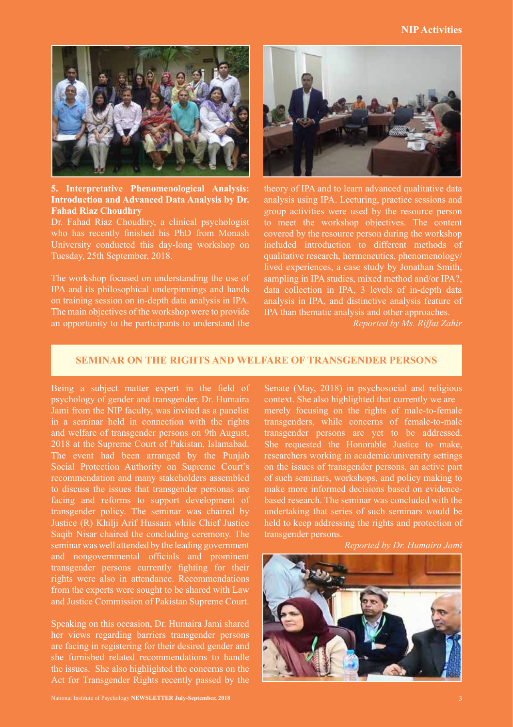#### **NIP Activities**



**5. Interpretative Phenomenological Analysis: Introduction and Advanced Data Analysis by Dr. Fahad Riaz Choudhry**

Dr. Fahad Riaz Choudhry, a clinical psychologist who has recently finished his PhD from Monash University conducted this day-long workshop on Tuesday, 25th September, 2018.

The workshop focused on understanding the use of IPA and its philosophical underpinnings and hands on training session on in-depth data analysis in IPA. The main objectives of the workshop were to provide an opportunity to the participants to understand the



theory of IPA and to learn advanced qualitative data analysis using IPA. Lecturing, practice sessions and group activities were used by the resource person to meet the workshop objectives. The content covered by the resource person during the workshop included introduction to different methods of qualitative research, hermeneutics, phenomenology/ lived experiences, a case study by Jonathan Smith, sampling in IPA studies, mixed method and/or IPA?, data collection in IPA, 3 levels of in-depth data analysis in IPA, and distinctive analysis feature of IPA than thematic analysis and other approaches.

*Reported by Ms. Riffat Zahir*

#### **SEMINAR ON THE RIGHTS AND WELFARE OF TRANSGENDER PERSONS**

Being a subject matter expert in the field of psychology of gender and transgender, Dr. Humaira Jami from the NIP faculty, was invited as a panelist in a seminar held in connection with the rights and welfare of transgender persons on 9th August, 2018 at the Supreme Court of Pakistan, Islamabad. The event had been arranged by the Punjab Social Protection Authority on Supreme Court's recommendation and many stakeholders assembled to discuss the issues that transgender personas are facing and reforms to support development of transgender policy. The seminar was chaired by Justice (R) Khilji Arif Hussain while Chief Justice Saqib Nisar chaired the concluding ceremony. The seminar was well attended by the leading government and nongovernmental officials and prominent transgender persons currently fighting for their rights were also in attendance. Recommendations from the experts were sought to be shared with Law and Justice Commission of Pakistan Supreme Court.

Speaking on this occasion, Dr. Humaira Jami shared her views regarding barriers transgender persons are facing in registering for their desired gender and she furnished related recommendations to handle the issues. She also highlighted the concerns on the Act for Transgender Rights recently passed by the

National Institute of Psychology **NEWSLETTER July-September, 2018** 3

Senate (May, 2018) in psychosocial and religious context. She also highlighted that currently we are merely focusing on the rights of male-to-female transgenders, while concerns of female-to-male transgender persons are yet to be addressed. She requested the Honorable Justice to make, researchers working in academic/university settings on the issues of transgender persons, an active part of such seminars, workshops, and policy making to make more informed decisions based on evidencebased research. The seminar was concluded with the undertaking that series of such seminars would be held to keep addressing the rights and protection of transgender persons.

*Reported by Dr. Humaira Jami*

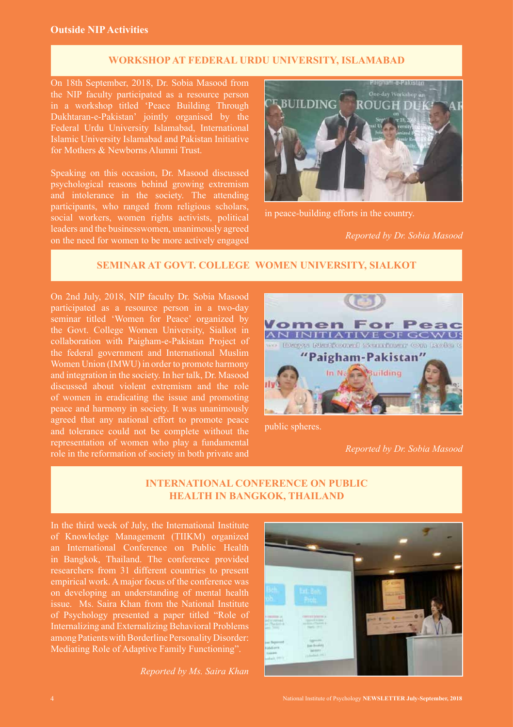## **WORKSHOP AT FEDERAL URDU UNIVERSITY, ISLAMABAD**

On 18th September, 2018, Dr. Sobia Masood from the NIP faculty participated as a resource person in a workshop titled 'Peace Building Through Dukhtaran-e-Pakistan' jointly organised by the Federal Urdu University Islamabad, International Islamic University Islamabad and Pakistan Initiative for Mothers & Newborns Alumni Trust.

Speaking on this occasion, Dr. Masood discussed psychological reasons behind growing extremism and intolerance in the society. The attending participants, who ranged from religious scholars, social workers, women rights activists, political leaders and the businesswomen, unanimously agreed on the need for women to be more actively engaged



in peace-building efforts in the country.

*Reported by Dr. Sobia Masood*

# **SEMINAR AT GOVT. COLLEGE WOMEN UNIVERSITY, SIALKOT**

On 2nd July, 2018, NIP faculty Dr. Sobia Masood participated as a resource person in a two-day seminar titled 'Women for Peace' organized by the Govt. College Women University, Sialkot in collaboration with Paigham-e-Pakistan Project of the federal government and International Muslim Women Union (IMWU) in order to promote harmony and integration in the society. In her talk, Dr. Masood discussed about violent extremism and the role of women in eradicating the issue and promoting peace and harmony in society. It was unanimously agreed that any national effort to promote peace and tolerance could not be complete without the representation of women who play a fundamental role in the reformation of society in both private and



public spheres.

*Reported by Dr. Sobia Masood*

# **INTERNATIONAL CONFERENCE ON PUBLIC HEALTH IN BANGKOK, THAILAND**

In the third week of July, the International Institute of Knowledge Management (TIIKM) organized an International Conference on Public Health in Bangkok, Thailand. The conference provided researchers from 31 different countries to present empirical work. A major focus of the conference was on developing an understanding of mental health issue. Ms. Saira Khan from the National Institute of Psychology presented a paper titled "Role of Internalizing and Externalizing Behavioral Problems among Patients with Borderline Personality Disorder: Mediating Role of Adaptive Family Functioning".

*Reported by Ms. Saira Khan*

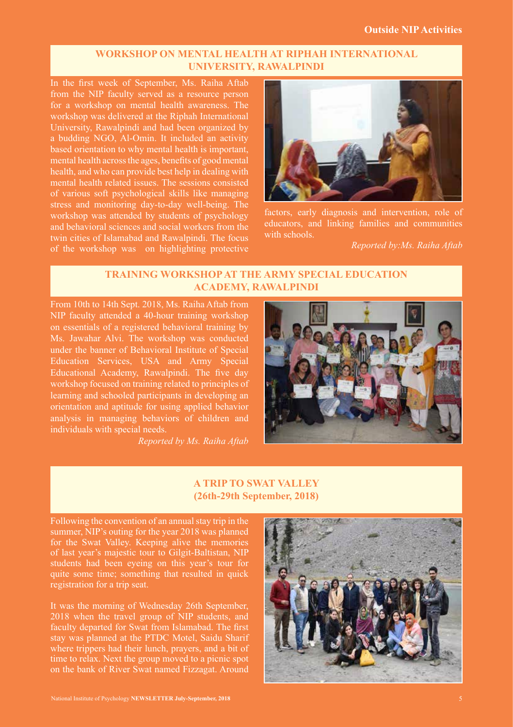## **WORKSHOP ON MENTAL HEALTH AT RIPHAH INTERNATIONAL UNIVERSITY, RAWALPINDI**

In the first week of September, Ms. Raiha Aftab from the NIP faculty served as a resource person for a workshop on mental health awareness. The workshop was delivered at the Riphah International University, Rawalpindi and had been organized by a budding NGO, Al-Omin. It included an activity based orientation to why mental health is important, mental health across the ages, benefits of good mental health, and who can provide best help in dealing with mental health related issues. The sessions consisted of various soft psychological skills like managing stress and monitoring day-to-day well-being. The workshop was attended by students of psychology and behavioral sciences and social workers from the twin cities of Islamabad and Rawalpindi. The focus of the workshop was on highlighting protective



factors, early diagnosis and intervention, role of educators, and linking families and communities with schools.

*Reported by:Ms. Raiha Aftab*

# **TRAINING WORKSHOP AT THE ARMY SPECIAL EDUCATION ACADEMY, RAWALPINDI**

From 10th to 14th Sept. 2018, Ms. Raiha Aftab from NIP faculty attended a 40-hour training workshop on essentials of a registered behavioral training by Ms. Jawahar Alvi. The workshop was conducted under the banner of Behavioral Institute of Special Education Services, USA and Army Special Educational Academy, Rawalpindi. The five day workshop focused on training related to principles of learning and schooled participants in developing an orientation and aptitude for using applied behavior analysis in managing behaviors of children and individuals with special needs.

*Reported by Ms. Raiha Aftab*



# **A TRIP TO SWAT VALLEY (26th-29th September, 2018)**

Following the convention of an annual stay trip in the summer, NIP's outing for the year 2018 was planned for the Swat Valley. Keeping alive the memories of last year's majestic tour to Gilgit-Baltistan, NIP students had been eyeing on this year's tour for quite some time; something that resulted in quick registration for a trip seat.

It was the morning of Wednesday 26th September, 2018 when the travel group of NIP students, and faculty departed for Swat from Islamabad. The first stay was planned at the PTDC Motel, Saidu Sharif where trippers had their lunch, prayers, and a bit of time to relax. Next the group moved to a picnic spot on the bank of River Swat named Fizzagat. Around

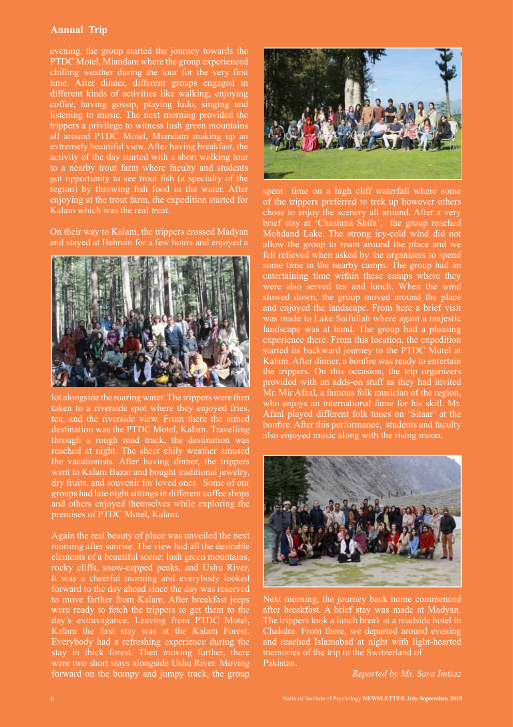## **Annual Trip**

evening, the group started the journey towards the PTDC Motel, Miandam where the group experienced chilling weather during the tour for the very first time. After dinner, different groups engaged in different kinds of activities like walking, enjoying coffee, having gossip, playing ludo, singing and listening to music. The next morning provided the trippers a privilege to witness lush green mountains all around PTDC Motel, Miandam making up an extremely beautiful view. After having breakfast, the activity of the day started with a short walking tour to a nearby trout farm where faculty and students got opportunity to see trout fish (a specialty of the region) by throwing fish food in the water. After enjoying at the trout farm, the expedition started for Kalam which was the real treat.

On their way to Kalam, the trippers crossed Madyan and stayed at Behrain for a few hours and enjoyed a



lot alongside the roaring water. The trippers were then taken to a riverside spot where they enjoyed fries, tea, and the riverside view. From there the aimed destination was the PTDC Motel, Kalam. Travelling through a rough road track, the destination was reached at night. The sheer chily weather amused the vacationists. After having dinner, the trippers went to Kalam Bazar and bought traditional jewelry, dry fruits, and souvenir for loved ones. Some of our groups had late night sittings in different coffee shops and others enjoyed themselves while exploring the premises of PTDC Motel, Kalam.

Again the real beauty of place was unveiled the next morning after sunrise. The view had all the desirable elements of a beautiful scene: lush green mountains, rocky cliffs, snow-capped peaks, and Ushu River. It was a cheerful morning and everybody looked forward to the day ahead since the day was reserved to move farther from Kalam. After breakfast jeeps were ready to fetch the trippers to get them to the day's extravagance. Leaving from PTDC Motel, Kalam the first stay was at the Kalam Forest. Everybody had a refreshing experience during the stay in thick forest. Then moving further, there were two short stays alongside Ushu River. Moving forward on the bumpy and jumpy track, the group



spent time on a high cliff waterfall where some of the trippers preferred to trek up however others chose to enjoy the scenery all around. After a very brief stay at 'Chashma Shifa', the group reached Mohdand Lake. The strong icy-cold wind did not allow the group to roam around the place and we felt relieved when asked by the organizers to spend some time in the nearby camps. The group had an entertaining time within these camps where they were also served tea and lunch. When the wind slowed down, the group moved around the place and enjoyed the landscape. From here a brief visit was made to Lake Saifullah where again a majestic landscape was at hand. The group had a pleasing experience there. From this location, the expedition started its backward journey to the PTDC Motel at Kalam. After dinner, a bonfire was ready to entertain the trippers. On this occasion, the trip organizers provided with an adds-on stuff as they had invited Mr. Mir Afzal, a famous folk musician of the region, who enjoys an international fame for his skill. Mr. Afzal played different folk tunes on 'Sitaar' at the bonfire. After this performance, students and faculty also enjoyed music along with the rising moon.



Next morning, the journey back home commenced after breakfast. A brief stay was made at Madyan. The trippers took a lunch break at a roadside hotel in Chakdra. From there, we departed around evening and reached Islamabad at night with light-hearted memories of the trip to the Switzerland of Pakistan.

*Reported by Ms. Sara Imtiaz*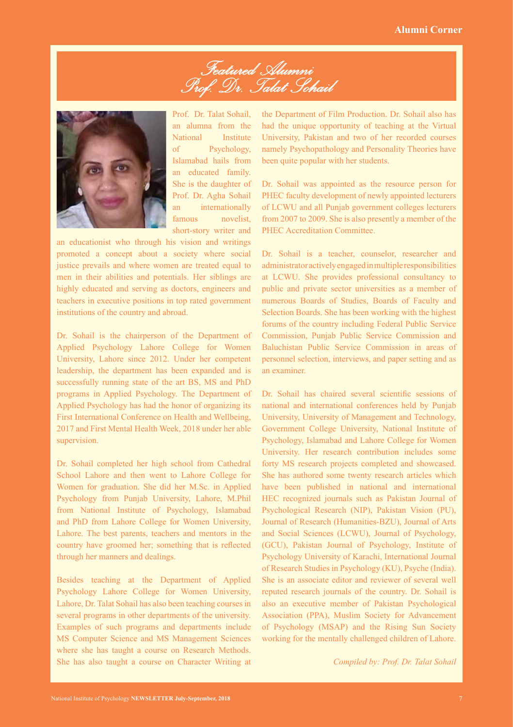*Featured Alumni Prof. Dr. Talat Sohail*



Prof. Dr. Talat Sohail, an alumna from the National Institute of Psychology, Islamabad hails from an educated family. She is the daughter of Prof. Dr. Agha Sohail an internationally famous novelist, short-story writer and

an educationist who through his vision and writings promoted a concept about a society where social justice prevails and where women are treated equal to men in their abilities and potentials. Her siblings are highly educated and serving as doctors, engineers and teachers in executive positions in top rated government institutions of the country and abroad.

Dr. Sohail is the chairperson of the Department of Applied Psychology Lahore College for Women University, Lahore since 2012. Under her competent leadership, the department has been expanded and is successfully running state of the art BS, MS and PhD programs in Applied Psychology. The Department of Applied Psychology has had the honor of organizing its First International Conference on Health and Wellbeing, 2017 and First Mental Health Week, 2018 under her able supervision.

Dr. Sohail completed her high school from Cathedral School Lahore and then went to Lahore College for Women for graduation. She did her M.Sc. in Applied Psychology from Punjab University, Lahore, M.Phil from National Institute of Psychology, Islamabad and PhD from Lahore College for Women University, Lahore. The best parents, teachers and mentors in the country have groomed her; something that is reflected through her manners and dealings.

Besides teaching at the Department of Applied Psychology Lahore College for Women University, Lahore, Dr. Talat Sohail has also been teaching courses in several programs in other departments of the university. Examples of such programs and departments include MS Computer Science and MS Management Sciences where she has taught a course on Research Methods. She has also taught a course on Character Writing at

the Department of Film Production. Dr. Sohail also has had the unique opportunity of teaching at the Virtual University, Pakistan and two of her recorded courses namely Psychopathology and Personality Theories have been quite popular with her students.

Dr. Sohail was appointed as the resource person for PHEC faculty development of newly appointed lecturers of LCWU and all Punjab government colleges lecturers from 2007 to 2009. She is also presently a member of the PHEC Accreditation Committee.

Dr. Sohail is a teacher, counselor, researcher and administrator actively engaged in multiple responsibilities at LCWU. She provides professional consultancy to public and private sector universities as a member of numerous Boards of Studies, Boards of Faculty and Selection Boards. She has been working with the highest forums of the country including Federal Public Service Commission, Punjab Public Service Commission and Baluchistan Public Service Commission in areas of personnel selection, interviews, and paper setting and as an examiner.

Dr. Sohail has chaired several scientific sessions of national and international conferences held by Punjab University, University of Management and Technology, Government College University, National Institute of Psychology, Islamabad and Lahore College for Women University. Her research contribution includes some forty MS research projects completed and showcased. She has authored some twenty research articles which have been published in national and international HEC recognized journals such as Pakistan Journal of Psychological Research (NIP), Pakistan Vision (PU), Journal of Research (Humanities-BZU), Journal of Arts and Social Sciences (LCWU), Journal of Psychology, (GCU), Pakistan Journal of Psychology, Institute of Psychology University of Karachi, International Journal of Research Studies in Psychology (KU), Psyche (India). She is an associate editor and reviewer of several well reputed research journals of the country. Dr. Sohail is also an executive member of Pakistan Psychological Association (PPA), Muslim Society for Advancement of Psychology (MSAP) and the Rising Sun Society working for the mentally challenged children of Lahore.

*Compiled by: Prof. Dr. Talat Sohail*